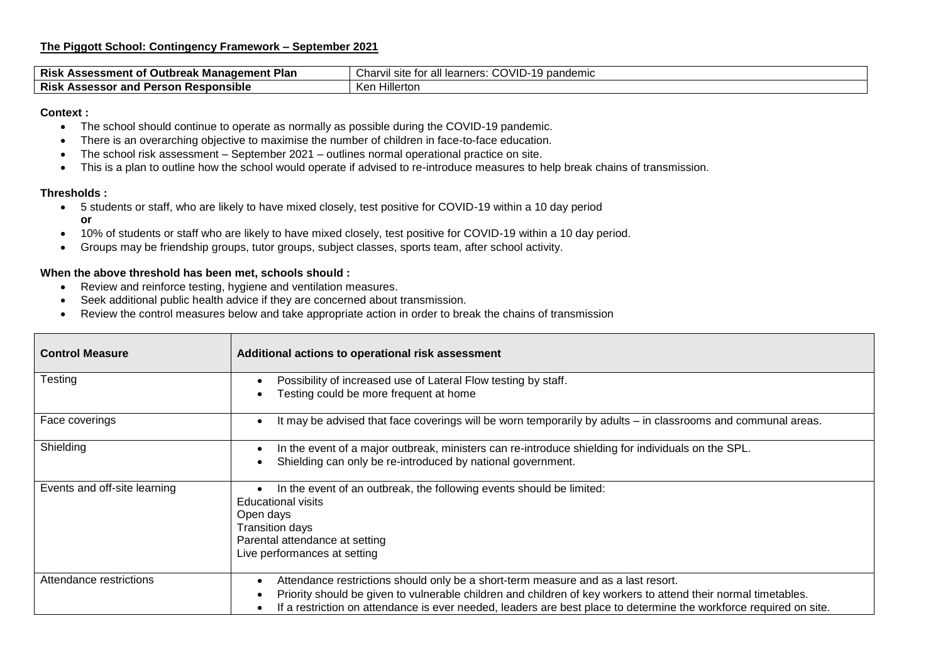| <b>Risk</b><br>Plan<br><b>Outbreak</b><br>nee<br>ASSessment<br>. Manadement | $\mathbf{H}$<br>~~<br>-<br>Char<br>$\mathcal{M}$<br>pandemic<br>learners.<br>TOI<br>◡<br>VIL |
|-----------------------------------------------------------------------------|----------------------------------------------------------------------------------------------|
| <b>Risk</b><br>and<br>`sponsible_<br>-accar<br>Persor<br>^^<br>.<br>Аээсээч | Hillerton<br>Ker                                                                             |

## **Context :**

- The school should continue to operate as normally as possible during the COVID-19 pandemic.
- There is an overarching objective to maximise the number of children in face-to-face education.
- The school risk assessment September 2021 outlines normal operational practice on site.
- This is a plan to outline how the school would operate if advised to re-introduce measures to help break chains of transmission.

## **Thresholds :**

- 5 students or staff, who are likely to have mixed closely, test positive for COVID-19 within a 10 day period **or**
- 10% of students or staff who are likely to have mixed closely, test positive for COVID-19 within a 10 day period.
- Groups may be friendship groups, tutor groups, subject classes, sports team, after school activity.

## **When the above threshold has been met, schools should :**

- Review and reinforce testing, hygiene and ventilation measures.
- Seek additional public health advice if they are concerned about transmission.
- Review the control measures below and take appropriate action in order to break the chains of transmission

| <b>Control Measure</b>       | Additional actions to operational risk assessment                                                                  |
|------------------------------|--------------------------------------------------------------------------------------------------------------------|
| Testing                      | Possibility of increased use of Lateral Flow testing by staff.                                                     |
|                              | Testing could be more frequent at home                                                                             |
| Face coverings               | It may be advised that face coverings will be worn temporarily by adults - in classrooms and communal areas.       |
| Shielding                    | In the event of a major outbreak, ministers can re-introduce shielding for individuals on the SPL.                 |
|                              | Shielding can only be re-introduced by national government.                                                        |
| Events and off-site learning | In the event of an outbreak, the following events should be limited:                                               |
|                              | Educational visits<br>Open days                                                                                    |
|                              | <b>Transition days</b>                                                                                             |
|                              | Parental attendance at setting                                                                                     |
|                              | Live performances at setting                                                                                       |
| Attendance restrictions      | Attendance restrictions should only be a short-term measure and as a last resort.                                  |
|                              | Priority should be given to vulnerable children and children of key workers to attend their normal timetables.     |
|                              | If a restriction on attendance is ever needed, leaders are best place to determine the workforce required on site. |